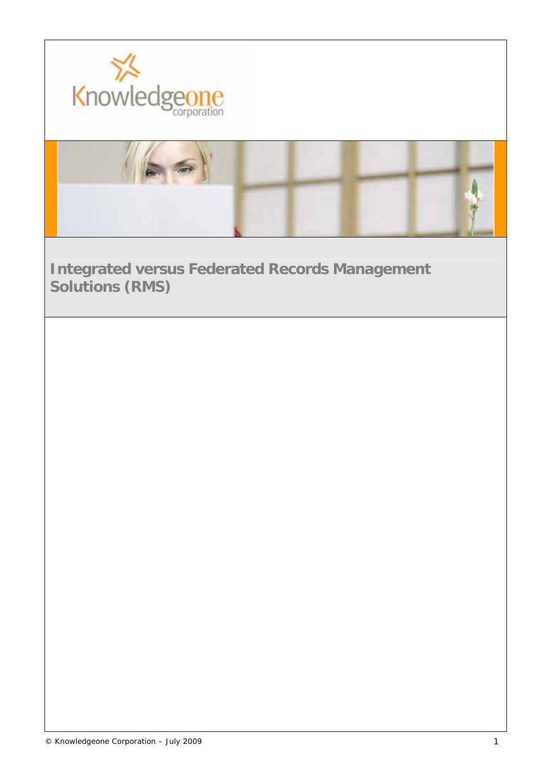



**Integrated versus Federated Records Management Solutions (RMS)**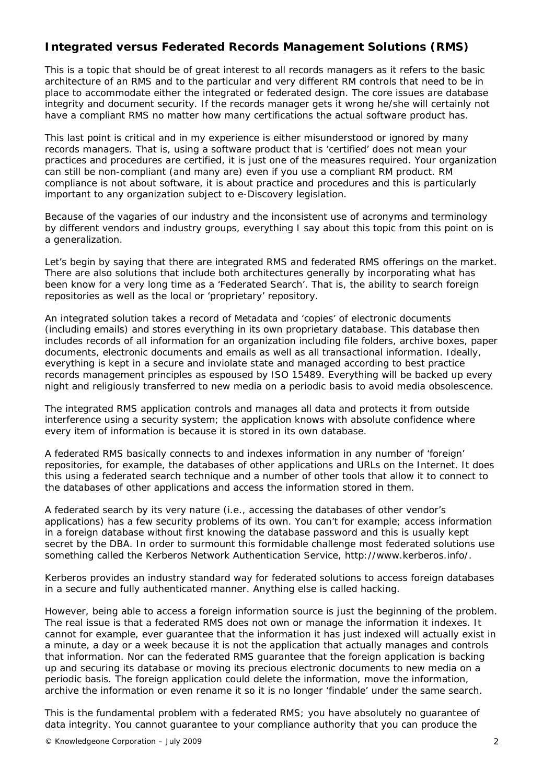## **Integrated versus Federated Records Management Solutions (RMS)**

This is a topic that should be of great interest to all records managers as it refers to the basic architecture of an RMS and to the particular and very different RM controls that need to be in place to accommodate either the integrated or federated design. The core issues are database integrity and document security. If the records manager gets it wrong he/she will certainly not have a compliant RMS no matter how many certifications the actual software product has.

This last point is critical and in my experience is either misunderstood or ignored by many records managers. That is, using a software product that is 'certified' does not mean your practices and procedures are certified, it is just one of the measures required. Your organization can still be non-compliant (and many are) even if you use a compliant RM product. RM compliance is not about software, it is about practice and procedures and this is particularly important to any organization subject to e-Discovery legislation.

Because of the vagaries of our industry and the inconsistent use of acronyms and terminology by different vendors and industry groups, everything I say about this topic from this point on is a generalization.

Let's begin by saying that there are integrated RMS and federated RMS offerings on the market. There are also solutions that include both architectures generally by incorporating what has been know for a very long time as a 'Federated Search'. That is, the ability to search foreign repositories as well as the local or 'proprietary' repository.

An integrated solution takes a record of Metadata and 'copies' of electronic documents (including emails) and stores everything in its own proprietary database. This database then includes records of all information for an organization including file folders, archive boxes, paper documents, electronic documents and emails as well as all transactional information. Ideally, everything is kept in a secure and inviolate state and managed according to best practice records management principles as espoused by ISO 15489. Everything will be backed up every night and religiously transferred to new media on a periodic basis to avoid media obsolescence.

The integrated RMS application controls and manages all data and protects it from outside interference using a security system; the application knows with absolute confidence where every item of information is because it is stored in its own database.

A federated RMS basically connects to and indexes information in any number of 'foreign' repositories, for example, the databases of other applications and URLs on the Internet. It does this using a federated search technique and a number of other tools that allow it to connect to the databases of other applications and access the information stored in them.

A federated search by its very nature (i.e., accessing the databases of other vendor's applications) has a few security problems of its own. You can't for example; access information in a foreign database without first knowing the database password and this is usually kept secret by the DBA. In order to surmount this formidable challenge most federated solutions use something called the Kerberos Network Authentication Service, http://www.kerberos.info/.

Kerberos provides an industry standard way for federated solutions to access foreign databases in a secure and fully authenticated manner. Anything else is called hacking.

However, being able to access a foreign information source is just the beginning of the problem. The real issue is that a federated RMS does not own or manage the information it indexes. It cannot for example, ever guarantee that the information it has just indexed will actually exist in a minute, a day or a week because it is not the application that actually manages and controls that information. Nor can the federated RMS guarantee that the foreign application is backing up and securing its database or moving its precious electronic documents to new media on a periodic basis. The foreign application could delete the information, move the information, archive the information or even rename it so it is no longer 'findable' under the same search.

This is the fundamental problem with a federated RMS; you have absolutely no guarantee of data integrity. You cannot guarantee to your compliance authority that you can produce the